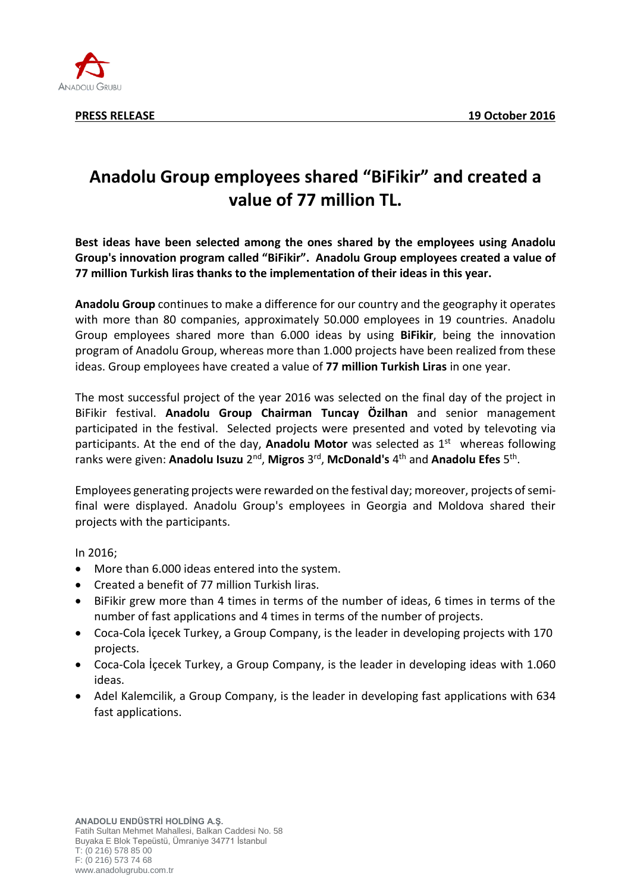

## **Anadolu Group employees shared "BiFikir" and created a value of 77 million TL.**

**Best ideas have been selected among the ones shared by the employees using Anadolu Group's innovation program called "BiFikir". Anadolu Group employees created a value of 77 million Turkish liras thanks to the implementation of their ideas in this year.**

**Anadolu Group** continues to make a difference for our country and the geography it operates with more than 80 companies, approximately 50.000 employees in 19 countries. Anadolu Group employees shared more than 6.000 ideas by using **BiFikir**, being the innovation program of Anadolu Group, whereas more than 1.000 projects have been realized from these ideas. Group employees have created a value of **77 million Turkish Liras** in one year.

The most successful project of the year 2016 was selected on the final day of the project in BiFikir festival. **Anadolu Group Chairman Tuncay Özilhan** and senior management participated in the festival. Selected projects were presented and voted by televoting via participants. At the end of the day, **Anadolu Motor** was selected as 1<sup>st</sup> whereas following ranks were given: **Anadolu Isuzu** 2<sup>nd</sup>, **Migros** 3<sup>rd</sup>, **McDonald's** 4<sup>th</sup> and **Anadolu Efes** 5<sup>th</sup>.

Employees generating projects were rewarded on the festival day; moreover, projects of semifinal were displayed. Anadolu Group's employees in Georgia and Moldova shared their projects with the participants.

In 2016;

- More than 6.000 ideas entered into the system.
- Created a benefit of 77 million Turkish liras.
- BiFikir grew more than 4 times in terms of the number of ideas, 6 times in terms of the number of fast applications and 4 times in terms of the number of projects.
- Coca-Cola İçecek Turkey, a Group Company, is the leader in developing projects with 170 projects.
- Coca-Cola İçecek Turkey, a Group Company, is the leader in developing ideas with 1.060 ideas.
- Adel Kalemcilik, a Group Company, is the leader in developing fast applications with 634 fast applications.